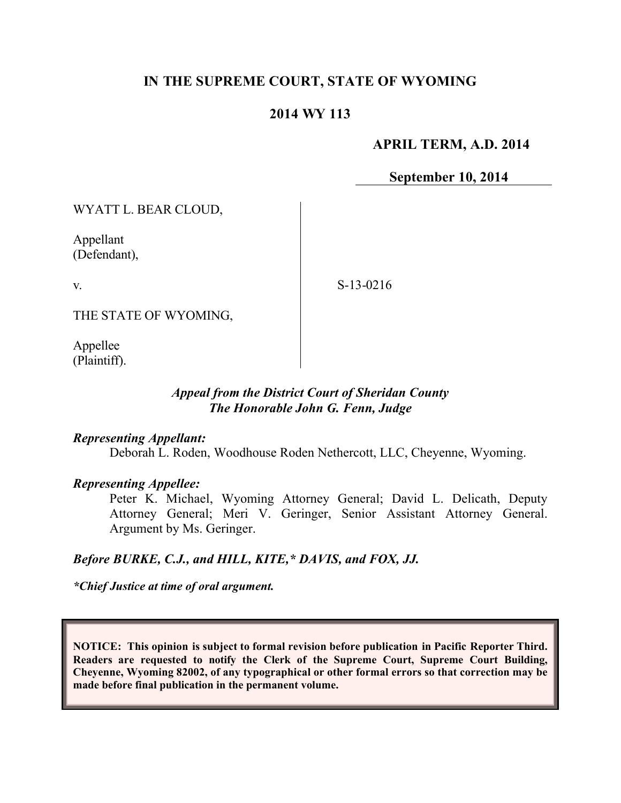## **IN THE SUPREME COURT, STATE OF WYOMING**

### **2014 WY 113**

#### **APRIL TERM, A.D. 2014**

**September 10, 2014**

WYATT L. BEAR CLOUD,

Appellant (Defendant),

v.

S-13-0216

THE STATE OF WYOMING,

Appellee (Plaintiff).

### *Appeal from the District Court of Sheridan County The Honorable John G. Fenn, Judge*

#### *Representing Appellant:*

Deborah L. Roden, Woodhouse Roden Nethercott, LLC, Cheyenne, Wyoming.

#### *Representing Appellee:*

Peter K. Michael, Wyoming Attorney General; David L. Delicath, Deputy Attorney General; Meri V. Geringer, Senior Assistant Attorney General. Argument by Ms. Geringer.

## *Before BURKE, C.J., and HILL, KITE,\* DAVIS, and FOX, JJ.*

*\*Chief Justice at time of oral argument.*

**NOTICE: This opinion is subject to formal revision before publication in Pacific Reporter Third. Readers are requested to notify the Clerk of the Supreme Court, Supreme Court Building, Cheyenne, Wyoming 82002, of any typographical or other formal errors so that correction may be made before final publication in the permanent volume.**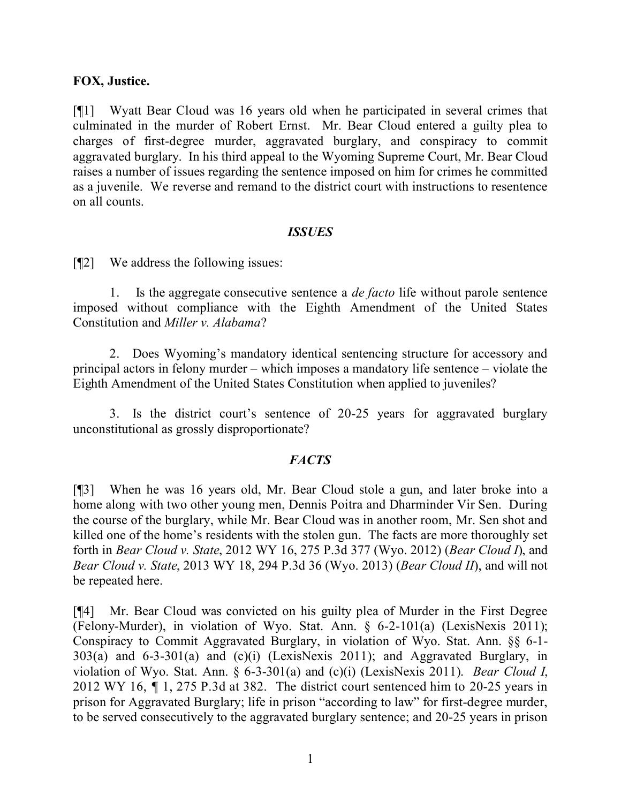#### **FOX, Justice.**

[¶1] Wyatt Bear Cloud was 16 years old when he participated in several crimes that culminated in the murder of Robert Ernst. Mr. Bear Cloud entered a guilty plea to charges of first-degree murder, aggravated burglary, and conspiracy to commit aggravated burglary. In his third appeal to the Wyoming Supreme Court, Mr. Bear Cloud raises a number of issues regarding the sentence imposed on him for crimes he committed as a juvenile. We reverse and remand to the district court with instructions to resentence on all counts.

### *ISSUES*

[¶2] We address the following issues:

1. Is the aggregate consecutive sentence a *de facto* life without parole sentence imposed without compliance with the Eighth Amendment of the United States Constitution and *Miller v. Alabama*?

2. Does Wyoming's mandatory identical sentencing structure for accessory and principal actors in felony murder – which imposes a mandatory life sentence – violate the Eighth Amendment of the United States Constitution when applied to juveniles?

3. Is the district court's sentence of 20-25 years for aggravated burglary unconstitutional as grossly disproportionate?

## *FACTS*

[¶3] When he was 16 years old, Mr. Bear Cloud stole a gun, and later broke into a home along with two other young men, Dennis Poitra and Dharminder Vir Sen. During the course of the burglary, while Mr. Bear Cloud was in another room, Mr. Sen shot and killed one of the home's residents with the stolen gun. The facts are more thoroughly set forth in *Bear Cloud v. State*, 2012 WY 16, 275 P.3d 377 (Wyo. 2012) (*Bear Cloud I*), and *Bear Cloud v. State*, 2013 WY 18, 294 P.3d 36 (Wyo. 2013) (*Bear Cloud II*), and will not be repeated here.

[¶4] Mr. Bear Cloud was convicted on his guilty plea of Murder in the First Degree (Felony-Murder), in violation of Wyo. Stat. Ann. § 6-2-101(a) (LexisNexis 2011); Conspiracy to Commit Aggravated Burglary, in violation of Wyo. Stat. Ann. §§ 6-1- 303(a) and 6-3-301(a) and (c)(i) (LexisNexis 2011); and Aggravated Burglary, in violation of Wyo. Stat. Ann. § 6-3-301(a) and (c)(i) (LexisNexis 2011). *Bear Cloud I*, 2012 WY 16, *¶* 1, 275 P.3d at 382. The district court sentenced him to 20-25 years in prison for Aggravated Burglary; life in prison "according to law" for first-degree murder, to be served consecutively to the aggravated burglary sentence; and 20-25 years in prison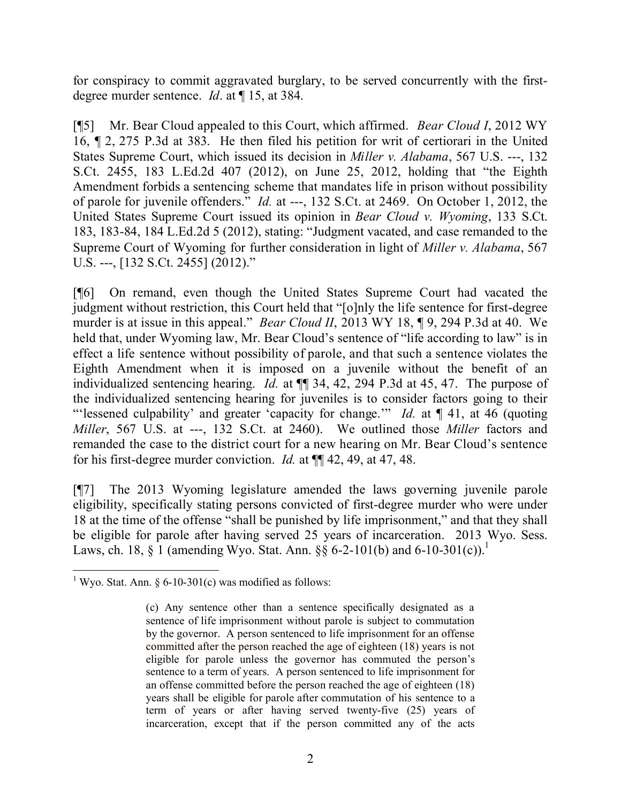for conspiracy to commit aggravated burglary, to be served concurrently with the firstdegree murder sentence. *Id*. at 115, at 384.

[¶5] Mr. Bear Cloud appealed to this Court, which affirmed. *Bear Cloud I*, 2012 WY 16, ¶ 2, 275 P.3d at 383. He then filed his petition for writ of certiorari in the United States Supreme Court, which issued its decision in *Miller v. Alabama*, 567 U.S. ---, 132 S.Ct. 2455, 183 L.Ed.2d 407 (2012), on June 25, 2012, holding that "the Eighth Amendment forbids a sentencing scheme that mandates life in prison without possibility of parole for juvenile offenders." *Id.* at ---, 132 S.Ct. at 2469. On October 1, 2012, the United States Supreme Court issued its opinion in *Bear Cloud v. Wyoming*, 133 S.Ct. 183, 183-84, 184 L.Ed.2d 5 (2012), stating: "Judgment vacated, and case remanded to the Supreme Court of Wyoming for further consideration in light of *Miller v. Alabama*, 567 U.S. ---, [132 S.Ct. 2455] (2012)."

[¶6] On remand, even though the United States Supreme Court had vacated the judgment without restriction, this Court held that "[o]nly the life sentence for first-degree murder is at issue in this appeal." *Bear Cloud II*, 2013 WY 18, ¶ 9, 294 P.3d at 40. We held that, under Wyoming law, Mr. Bear Cloud's sentence of "life according to law" is in effect a life sentence without possibility of parole, and that such a sentence violates the Eighth Amendment when it is imposed on a juvenile without the benefit of an individualized sentencing hearing. *Id.* at ¶¶ 34, 42, 294 P.3d at 45, 47. The purpose of the individualized sentencing hearing for juveniles is to consider factors going to their "'lessened culpability' and greater 'capacity for change." *Id.* at  $\P$  41, at 46 (quoting *Miller*, 567 U.S. at ---, 132 S.Ct. at 2460). We outlined those *Miller* factors and remanded the case to the district court for a new hearing on Mr. Bear Cloud's sentence for his first-degree murder conviction. *Id.* at ¶¶ 42, 49, at 47, 48.

[¶7] The 2013 Wyoming legislature amended the laws governing juvenile parole eligibility, specifically stating persons convicted of first-degree murder who were under 18 at the time of the offense "shall be punished by life imprisonment," and that they shall be eligible for parole after having served 25 years of incarceration. 2013 Wyo. Sess. Laws, ch. 18,  $\S$  1 (amending Wyo. Stat. Ann.  $\S$ § 6-2-101(b) and 6-10-301(c)).<sup>1</sup>

 <sup>1</sup> Wyo. Stat. Ann. § 6-10-301(c) was modified as follows:

<sup>(</sup>c) Any sentence other than a sentence specifically designated as a sentence of life imprisonment without parole is subject to commutation by the governor. A person sentenced to life imprisonment for an offense committed after the person reached the age of eighteen (18) years is not eligible for parole unless the governor has commuted the person's sentence to a term of years. A person sentenced to life imprisonment for an offense committed before the person reached the age of eighteen (18) years shall be eligible for parole after commutation of his sentence to a term of years or after having served twenty-five (25) years of incarceration, except that if the person committed any of the acts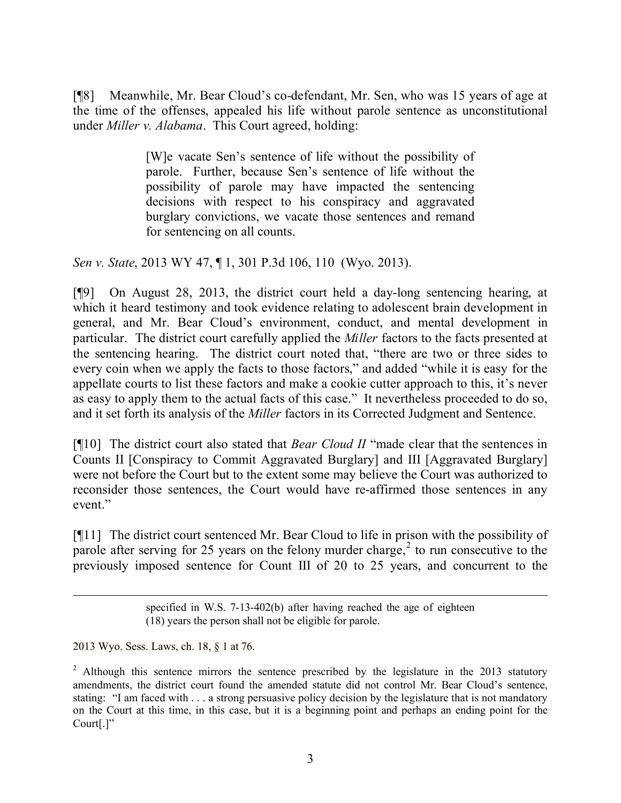[¶8] Meanwhile, Mr. Bear Cloud's co-defendant, Mr. Sen, who was 15 years of age at the time of the offenses, appealed his life without parole sentence as unconstitutional under *Miller v. Alabama*. This Court agreed, holding:

> [W]e vacate Sen's sentence of life without the possibility of parole. Further, because Sen's sentence of life without the possibility of parole may have impacted the sentencing decisions with respect to his conspiracy and aggravated burglary convictions, we vacate those sentences and remand for sentencing on all counts.

*Sen v. State*, 2013 WY 47, ¶ 1, 301 P.3d 106, 110 (Wyo. 2013).

[¶9] On August 28, 2013, the district court held a day-long sentencing hearing, at which it heard testimony and took evidence relating to adolescent brain development in general, and Mr. Bear Cloud's environment, conduct, and mental development in particular. The district court carefully applied the *Miller* factors to the facts presented at the sentencing hearing. The district court noted that, "there are two or three sides to every coin when we apply the facts to those factors," and added "while it is easy for the appellate courts to list these factors and make a cookie cutter approach to this, it's never as easy to apply them to the actual facts of this case." It nevertheless proceeded to do so, and it set forth its analysis of the *Miller* factors in its Corrected Judgment and Sentence.

[¶10] The district court also stated that *Bear Cloud II* "made clear that the sentences in Counts II [Conspiracy to Commit Aggravated Burglary] and III [Aggravated Burglary] were not before the Court but to the extent some may believe the Court was authorized to reconsider those sentences, the Court would have re-affirmed those sentences in any event."

[¶11] The district court sentenced Mr. Bear Cloud to life in prison with the possibility of parole after serving for 25 years on the felony murder charge,<sup>2</sup> to run consecutive to the previously imposed sentence for Count III of 20 to 25 years, and concurrent to the

2013 Wyo. Sess. Laws, ch. 18, § 1 at 76.

specified in W.S. 7-13-402(b) after having reached the age of eighteen (18) years the person shall not be eligible for parole.

<sup>&</sup>lt;sup>2</sup> Although this sentence mirrors the sentence prescribed by the legislature in the 2013 statutory amendments, the district court found the amended statute did not control Mr. Bear Cloud's sentence, stating: "I am faced with . . . a strong persuasive policy decision by the legislature that is not mandatory on the Court at this time, in this case, but it is a beginning point and perhaps an ending point for the Court[.]"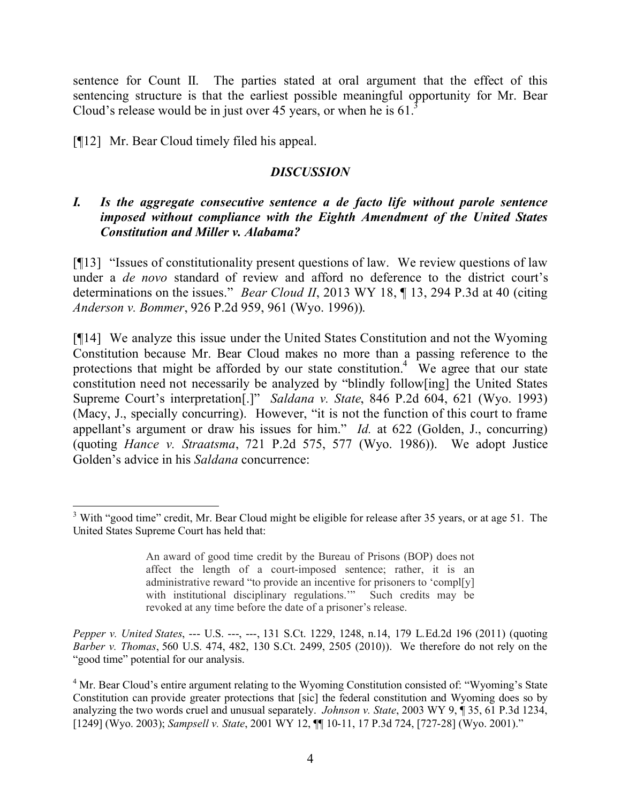sentence for Count II. The parties stated at oral argument that the effect of this sentencing structure is that the earliest possible meaningful opportunity for Mr. Bear Cloud's release would be in just over 45 years, or when he is  $61<sup>3</sup>$ 

[¶12] Mr. Bear Cloud timely filed his appeal.

# *DISCUSSION*

# *I. Is the aggregate consecutive sentence a de facto life without parole sentence imposed without compliance with the Eighth Amendment of the United States Constitution and Miller v. Alabama?*

[¶13] "Issues of constitutionality present questions of law. We review questions of law under a *de novo* standard of review and afford no deference to the district court's determinations on the issues." *Bear Cloud II*, 2013 WY 18, ¶ 13, 294 P.3d at 40 (citing *Anderson v. Bommer*, 926 P.2d 959, 961 (Wyo. 1996)).

[¶14] We analyze this issue under the United States Constitution and not the Wyoming Constitution because Mr. Bear Cloud makes no more than a passing reference to the protections that might be afforded by our state constitution.<sup>4</sup> We agree that our state constitution need not necessarily be analyzed by "blindly follow[ing] the United States Supreme Court's interpretation[.]" *Saldana v. State*, 846 P.2d 604, 621 (Wyo. 1993) (Macy, J., specially concurring). However, "it is not the function of this court to frame appellant's argument or draw his issues for him." *Id.* at 622 (Golden, J., concurring) (quoting *Hance v. Straatsma*, 721 P.2d 575, 577 (Wyo. 1986)). We adopt Justice Golden's advice in his *Saldana* concurrence:

  $3$  With "good time" credit, Mr. Bear Cloud might be eligible for release after 35 years, or at age 51. The United States Supreme Court has held that:

An award of good time credit by the Bureau of Prisons (BOP) does not affect the length of a court-imposed sentence; rather, it is an administrative reward "to provide an incentive for prisoners to 'compl[y] with institutional disciplinary regulations.'" Such credits may be revoked at any time before the date of a prisoner's release.

*Pepper v. United States*, --- U.S. ---, ---, 131 S.Ct. 1229, 1248, n.14, 179 L.Ed.2d 196 (2011) (quoting *Barber v. Thomas*, 560 U.S. 474, 482, 130 S.Ct. 2499, 2505 (2010)). We therefore do not rely on the "good time" potential for our analysis.

<sup>&</sup>lt;sup>4</sup> Mr. Bear Cloud's entire argument relating to the Wyoming Constitution consisted of: "Wyoming's State Constitution can provide greater protections that [sic] the federal constitution and Wyoming does so by analyzing the two words cruel and unusual separately. *Johnson v. State*, 2003 WY 9, ¶ 35, 61 P.3d 1234, [1249] (Wyo. 2003); *Sampsell v. State*, 2001 WY 12, ¶¶ 10-11, 17 P.3d 724, [727-28] (Wyo. 2001)."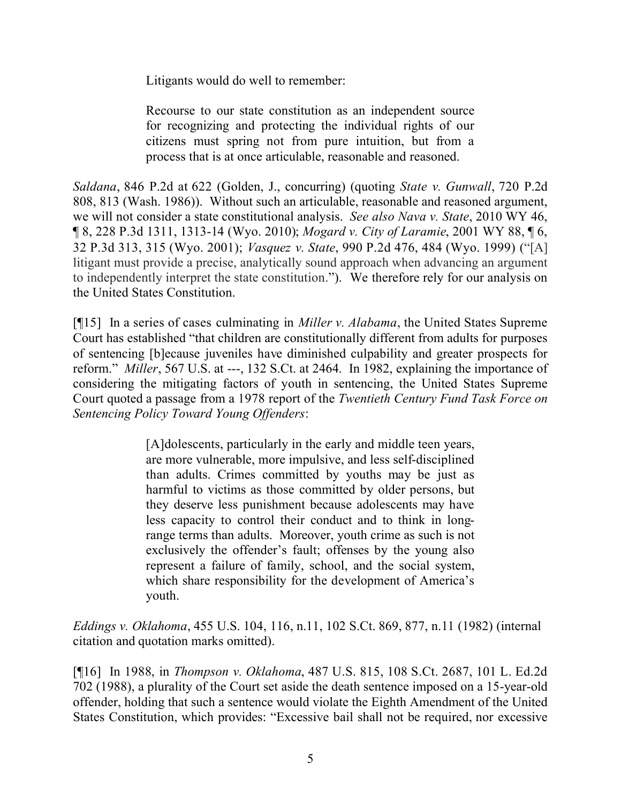Litigants would do well to remember:

Recourse to our state constitution as an independent source for recognizing and protecting the individual rights of our citizens must spring not from pure intuition, but from a process that is at once articulable, reasonable and reasoned.

*Saldana*, 846 P.2d at 622 (Golden, J., concurring) (quoting *State v. Gunwall*, 720 P.2d 808, 813 (Wash. 1986)). Without such an articulable, reasonable and reasoned argument, we will not consider a state constitutional analysis. *See also Nava v. State*, 2010 WY 46, ¶ 8, 228 P.3d 1311, 1313-14 (Wyo. 2010); *Mogard v. City of Laramie*, 2001 WY 88, ¶ 6, 32 P.3d 313, 315 (Wyo. 2001); *Vasquez v. State*, 990 P.2d 476, 484 (Wyo. 1999) ("[A] litigant must provide a precise, analytically sound approach when advancing an argument to independently interpret the state constitution."). We therefore rely for our analysis on the United States Constitution.

[¶15] In a series of cases culminating in *Miller v. Alabama*, the United States Supreme Court has established "that children are constitutionally different from adults for purposes of sentencing [b]ecause juveniles have diminished culpability and greater prospects for reform." *Miller*, 567 U.S. at ---, 132 S.Ct. at 2464. In 1982, explaining the importance of considering the mitigating factors of youth in sentencing, the United States Supreme Court quoted a passage from a 1978 report of the *Twentieth Century Fund Task Force on Sentencing Policy Toward Young Offenders*:

> [A]dolescents, particularly in the early and middle teen years, are more vulnerable, more impulsive, and less self-disciplined than adults. Crimes committed by youths may be just as harmful to victims as those committed by older persons, but they deserve less punishment because adolescents may have less capacity to control their conduct and to think in longrange terms than adults. Moreover, youth crime as such is not exclusively the offender's fault; offenses by the young also represent a failure of family, school, and the social system, which share responsibility for the development of America's youth.

*Eddings v. Oklahoma*, 455 U.S. 104, 116, n.11, 102 S.Ct. 869, 877, n.11 (1982) (internal citation and quotation marks omitted).

[¶16] In 1988, in *Thompson v. Oklahoma*, 487 U.S. 815, 108 S.Ct. 2687, 101 L. Ed.2d 702 (1988), a plurality of the Court set aside the death sentence imposed on a 15-year-old offender, holding that such a sentence would violate the Eighth Amendment of the United States Constitution, which provides: "Excessive bail shall not be required, nor excessive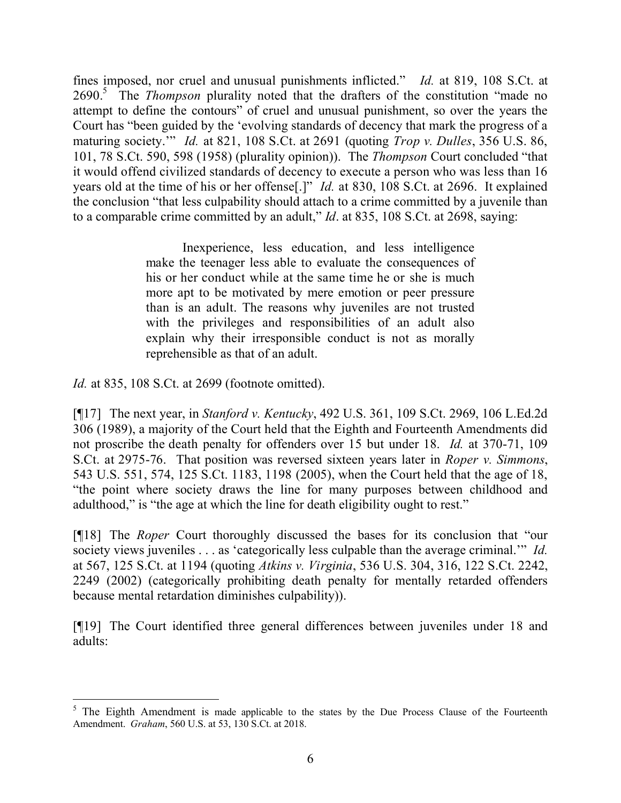fines imposed, nor cruel and unusual punishments inflicted." *Id.* at 819, 108 S.Ct. at 2690.<sup>5</sup> The *Thompson* plurality noted that the drafters of the constitution "made no attempt to define the contours" of cruel and unusual punishment, so over the years the Court has "been guided by the 'evolving standards of decency that mark the progress of a maturing society.'" *Id.* at 821, 108 S.Ct. at 2691 (quoting *Trop v. Dulles*, 356 U.S. 86, 101, 78 S.Ct. 590, 598 (1958) (plurality opinion)). The *Thompson* Court concluded "that it would offend civilized standards of decency to execute a person who was less than 16 years old at the time of his or her offense[.]" *Id.* at 830, 108 S.Ct. at 2696. It explained the conclusion "that less culpability should attach to a crime committed by a juvenile than to a comparable crime committed by an adult," *Id*. at 835, 108 S.Ct. at 2698, saying:

> Inexperience, less education, and less intelligence make the teenager less able to evaluate the consequences of his or her conduct while at the same time he or she is much more apt to be motivated by mere emotion or peer pressure than is an adult. The reasons why juveniles are not trusted with the privileges and responsibilities of an adult also explain why their irresponsible conduct is not as morally reprehensible as that of an adult.

*Id.* at 835, 108 S.Ct. at 2699 (footnote omitted).

[¶17] The next year, in *Stanford v. Kentucky*, 492 U.S. 361, 109 S.Ct. 2969, 106 L.Ed.2d 306 (1989), a majority of the Court held that the Eighth and Fourteenth Amendments did not proscribe the death penalty for offenders over 15 but under 18. *Id.* at 370-71, 109 S.Ct. at 2975-76. That position was reversed sixteen years later in *Roper v. Simmons*, 543 U.S. 551, 574, 125 S.Ct. 1183, 1198 (2005), when the Court held that the age of 18, "the point where society draws the line for many purposes between childhood and adulthood," is "the age at which the line for death eligibility ought to rest."

[¶18] The *Roper* Court thoroughly discussed the bases for its conclusion that "our society views juveniles . . . as 'categorically less culpable than the average criminal.'" *Id.* at 567, 125 S.Ct. at 1194 (quoting *Atkins v. Virginia*, 536 U.S. 304, 316, 122 S.Ct. 2242, 2249 (2002) (categorically prohibiting death penalty for mentally retarded offenders because mental retardation diminishes culpability)).

[¶19] The Court identified three general differences between juveniles under 18 and adults:

 $5$  The Eighth Amendment is made applicable to the states by the Due Process Clause of the Fourteenth Amendment. *Graham*, 560 U.S. at 53, 130 S.Ct. at 2018.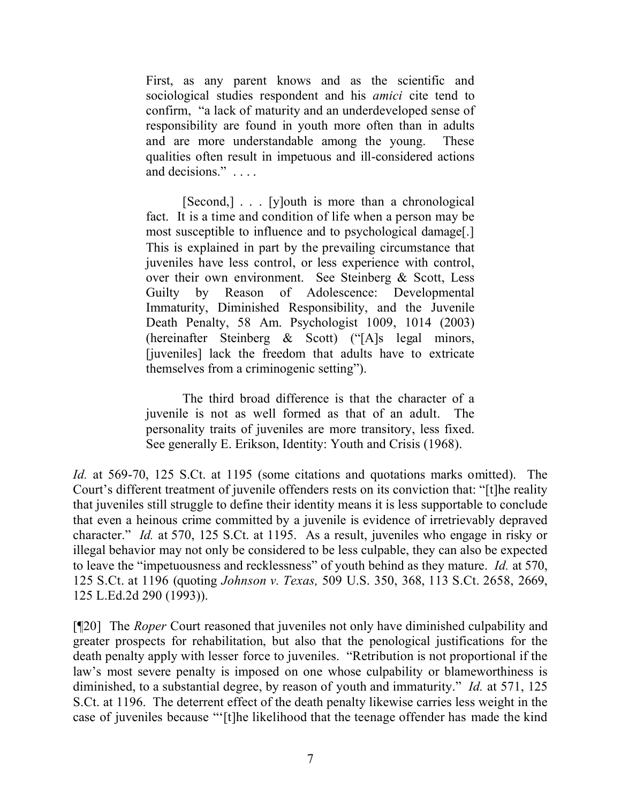First, as any parent knows and as the scientific and sociological studies respondent and his *amici* cite tend to confirm, "a lack of maturity and an underdeveloped sense of responsibility are found in youth more often than in adults and are more understandable among the young. These qualities often result in impetuous and ill-considered actions and decisions." . . . .

[Second,] . . . [y]outh is more than a chronological fact. It is a time and condition of life when a person may be most susceptible to influence and to psychological damage[.] This is explained in part by the prevailing circumstance that juveniles have less control, or less experience with control, over their own environment. See Steinberg & Scott, Less Guilty by Reason of Adolescence: Developmental Immaturity, Diminished Responsibility, and the Juvenile Death Penalty, 58 Am. Psychologist 1009, 1014 (2003) (hereinafter Steinberg & Scott) ("[A]s legal minors, [juveniles] lack the freedom that adults have to extricate themselves from a criminogenic setting").

The third broad difference is that the character of a juvenile is not as well formed as that of an adult. The personality traits of juveniles are more transitory, less fixed. See generally E. Erikson, Identity: Youth and Crisis (1968).

*Id.* at 569-70, 125 S.Ct. at 1195 (some citations and quotations marks omitted). The Court's different treatment of juvenile offenders rests on its conviction that: "[t]he reality that juveniles still struggle to define their identity means it is less supportable to conclude that even a heinous crime committed by a juvenile is evidence of irretrievably depraved character." *Id.* at 570, 125 S.Ct. at 1195. As a result, juveniles who engage in risky or illegal behavior may not only be considered to be less culpable, they can also be expected to leave the "impetuousness and recklessness" of youth behind as they mature. *Id.* at 570, 125 S.Ct. at 1196 (quoting *Johnson v. Texas,* 509 U.S. 350, 368, 113 S.Ct. 2658, 2669, 125 L.Ed.2d 290 (1993)).

[¶20] The *Roper* Court reasoned that juveniles not only have diminished culpability and greater prospects for rehabilitation, but also that the penological justifications for the death penalty apply with lesser force to juveniles. "Retribution is not proportional if the law's most severe penalty is imposed on one whose culpability or blameworthiness is diminished, to a substantial degree, by reason of youth and immaturity." *Id.* at 571, 125 S.Ct. at 1196. The deterrent effect of the death penalty likewise carries less weight in the case of juveniles because "'[t]he likelihood that the teenage offender has made the kind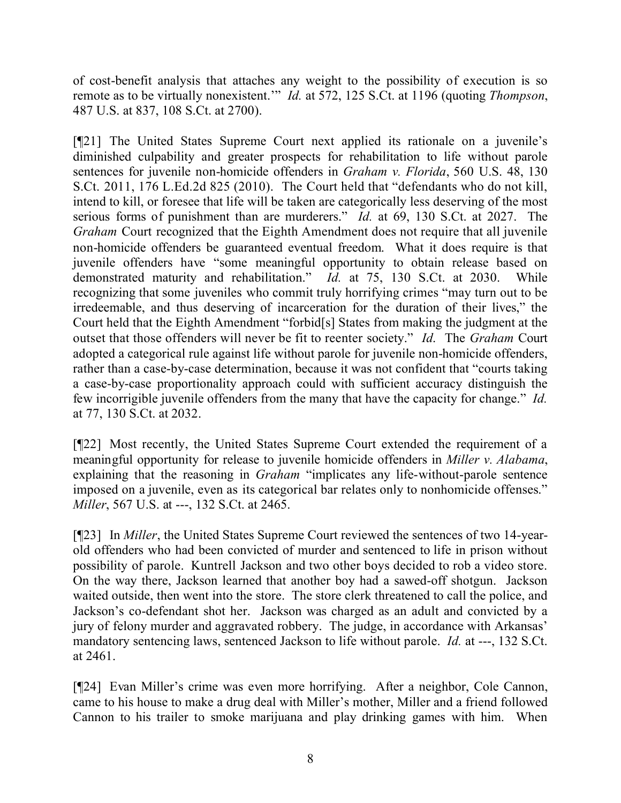of cost-benefit analysis that attaches any weight to the possibility of execution is so remote as to be virtually nonexistent.'" *Id.* at 572, 125 S.Ct. at 1196 (quoting *Thompson*, 487 U.S. at 837, 108 S.Ct. at 2700).

[¶21] The United States Supreme Court next applied its rationale on a juvenile's diminished culpability and greater prospects for rehabilitation to life without parole sentences for juvenile non-homicide offenders in *Graham v. Florida*, 560 U.S. 48, 130 S.Ct. 2011, 176 L.Ed.2d 825 (2010). The Court held that "defendants who do not kill, intend to kill, or foresee that life will be taken are categorically less deserving of the most serious forms of punishment than are murderers." *Id.* at 69, 130 S.Ct. at 2027. The *Graham* Court recognized that the Eighth Amendment does not require that all juvenile non-homicide offenders be guaranteed eventual freedom. What it does require is that juvenile offenders have "some meaningful opportunity to obtain release based on demonstrated maturity and rehabilitation." *Id.* at 75, 130 S.Ct. at 2030. While recognizing that some juveniles who commit truly horrifying crimes "may turn out to be irredeemable, and thus deserving of incarceration for the duration of their lives," the Court held that the Eighth Amendment "forbid[s] States from making the judgment at the outset that those offenders will never be fit to reenter society." *Id*. The *Graham* Court adopted a categorical rule against life without parole for juvenile non-homicide offenders, rather than a case-by-case determination, because it was not confident that "courts taking a case-by-case proportionality approach could with sufficient accuracy distinguish the few incorrigible juvenile offenders from the many that have the capacity for change." *Id.* at 77, 130 S.Ct. at 2032.

[¶22] Most recently, the United States Supreme Court extended the requirement of a meaningful opportunity for release to juvenile homicide offenders in *Miller v. Alabama*, explaining that the reasoning in *Graham* "implicates any life-without-parole sentence imposed on a juvenile, even as its categorical bar relates only to nonhomicide offenses." *Miller*, 567 U.S. at ---, 132 S.Ct. at 2465.

[¶23] In *Miller*, the United States Supreme Court reviewed the sentences of two 14-yearold offenders who had been convicted of murder and sentenced to life in prison without possibility of parole. Kuntrell Jackson and two other boys decided to rob a video store. On the way there, Jackson learned that another boy had a sawed-off shotgun. Jackson waited outside, then went into the store. The store clerk threatened to call the police, and Jackson's co-defendant shot her. Jackson was charged as an adult and convicted by a jury of felony murder and aggravated robbery. The judge, in accordance with Arkansas' mandatory sentencing laws, sentenced Jackson to life without parole. *Id.* at ---, 132 S.Ct. at 2461.

[¶24] Evan Miller's crime was even more horrifying. After a neighbor, Cole Cannon, came to his house to make a drug deal with Miller's mother, Miller and a friend followed Cannon to his trailer to smoke marijuana and play drinking games with him. When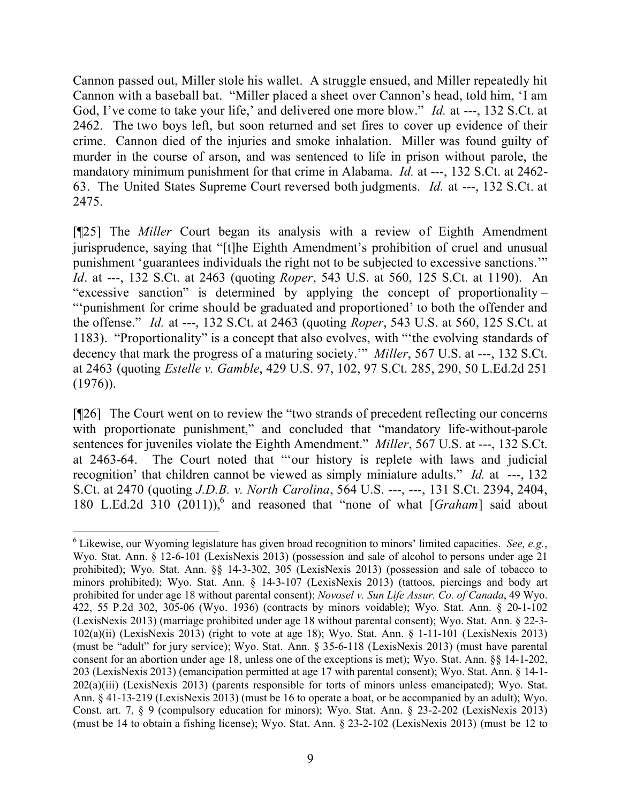Cannon passed out, Miller stole his wallet. A struggle ensued, and Miller repeatedly hit Cannon with a baseball bat. "Miller placed a sheet over Cannon's head, told him, 'I am God, I've come to take your life,' and delivered one more blow." *Id.* at ---, 132 S.Ct. at 2462. The two boys left, but soon returned and set fires to cover up evidence of their crime. Cannon died of the injuries and smoke inhalation. Miller was found guilty of murder in the course of arson, and was sentenced to life in prison without parole, the mandatory minimum punishment for that crime in Alabama. *Id.* at ---, 132 S.Ct. at 2462- 63. The United States Supreme Court reversed both judgments. *Id.* at ---, 132 S.Ct. at 2475.

[¶25] The *Miller* Court began its analysis with a review of Eighth Amendment jurisprudence, saying that "[t]he Eighth Amendment's prohibition of cruel and unusual punishment 'guarantees individuals the right not to be subjected to excessive sanctions.'" *Id*. at ---, 132 S.Ct. at 2463 (quoting *Roper*, 543 U.S. at 560, 125 S.Ct. at 1190). An "excessive sanction" is determined by applying the concept of proportionality – "'punishment for crime should be graduated and proportioned' to both the offender and the offense." *Id.* at ---, 132 S.Ct. at 2463 (quoting *Roper*, 543 U.S. at 560, 125 S.Ct. at 1183). "Proportionality" is a concept that also evolves, with "'the evolving standards of decency that mark the progress of a maturing society.'" *Miller*, 567 U.S. at ---, 132 S.Ct. at 2463 (quoting *Estelle v. Gamble*, 429 U.S. 97, 102, 97 S.Ct. 285, 290, 50 L.Ed.2d 251  $(1976)$ ).

[¶26] The Court went on to review the "two strands of precedent reflecting our concerns with proportionate punishment," and concluded that "mandatory life-without-parole sentences for juveniles violate the Eighth Amendment." *Miller*, 567 U.S. at ---, 132 S.Ct. at 2463-64. The Court noted that "'our history is replete with laws and judicial recognition' that children cannot be viewed as simply miniature adults." *Id.* at ---, 132 S.Ct. at 2470 (quoting *J.D.B. v. North Carolina*, 564 U.S. ---, ---, 131 S.Ct. 2394, 2404, 180 L.Ed.2d 310 (2011)), 6 and reasoned that "none of what [*Graham*] said about

 <sup>6</sup> Likewise, our Wyoming legislature has given broad recognition to minors' limited capacities. *See, e.g.*, Wyo. Stat. Ann. § 12-6-101 (LexisNexis 2013) (possession and sale of alcohol to persons under age 21 prohibited); Wyo. Stat. Ann. §§ 14-3-302, 305 (LexisNexis 2013) (possession and sale of tobacco to minors prohibited); Wyo. Stat. Ann. § 14-3-107 (LexisNexis 2013) (tattoos, piercings and body art prohibited for under age 18 without parental consent); *Novosel v. Sun Life Assur. Co. of Canada*, 49 Wyo. 422, 55 P.2d 302, 305-06 (Wyo. 1936) (contracts by minors voidable); Wyo. Stat. Ann. § 20-1-102 (LexisNexis 2013) (marriage prohibited under age 18 without parental consent); Wyo. Stat. Ann. § 22-3- 102(a)(ii) (LexisNexis 2013) (right to vote at age 18); Wyo. Stat. Ann. § 1-11-101 (LexisNexis 2013) (must be "adult" for jury service); Wyo. Stat. Ann. § 35-6-118 (LexisNexis 2013) (must have parental consent for an abortion under age 18, unless one of the exceptions is met); Wyo. Stat. Ann. §§ 14-1-202, 203 (LexisNexis 2013) (emancipation permitted at age 17 with parental consent); Wyo. Stat. Ann. § 14-1- 202(a)(iii) (LexisNexis 2013) (parents responsible for torts of minors unless emancipated); Wyo. Stat. Ann. § 41-13-219 (LexisNexis 2013) (must be 16 to operate a boat, or be accompanied by an adult); Wyo. Const. art. 7, § 9 (compulsory education for minors); Wyo. Stat. Ann. § 23-2-202 (LexisNexis 2013) (must be 14 to obtain a fishing license); Wyo. Stat. Ann. § 23-2-102 (LexisNexis 2013) (must be 12 to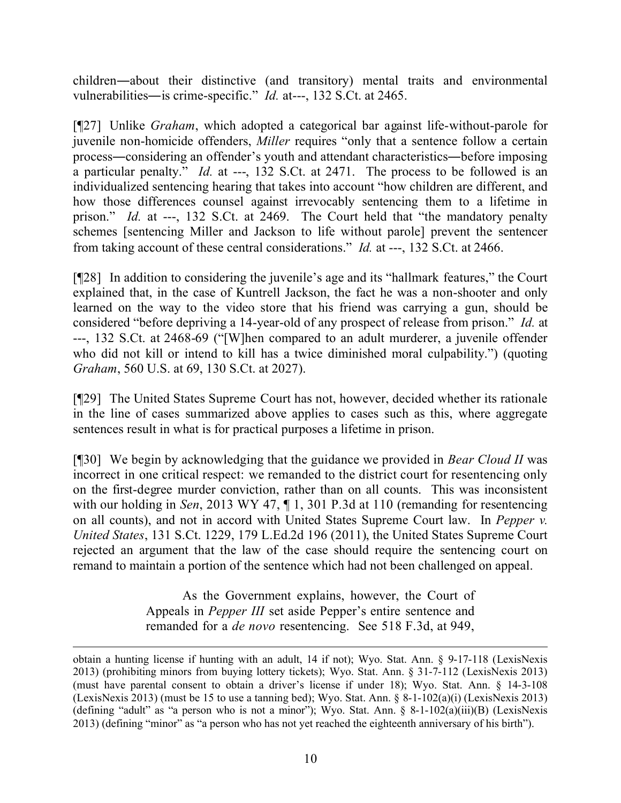children―about their distinctive (and transitory) mental traits and environmental vulnerabilities―is crime-specific." *Id.* at---, 132 S.Ct. at 2465.

[¶27] Unlike *Graham*, which adopted a categorical bar against life-without-parole for juvenile non-homicide offenders, *Miller* requires "only that a sentence follow a certain process―considering an offender's youth and attendant characteristics―before imposing a particular penalty." *Id.* at ---, 132 S.Ct. at 2471. The process to be followed is an individualized sentencing hearing that takes into account "how children are different, and how those differences counsel against irrevocably sentencing them to a lifetime in prison." *Id.* at ---, 132 S.Ct. at 2469. The Court held that "the mandatory penalty schemes [sentencing Miller and Jackson to life without parole] prevent the sentencer from taking account of these central considerations." *Id.* at ---, 132 S.Ct. at 2466.

[¶28] In addition to considering the juvenile's age and its "hallmark features," the Court explained that, in the case of Kuntrell Jackson, the fact he was a non-shooter and only learned on the way to the video store that his friend was carrying a gun, should be considered "before depriving a 14-year-old of any prospect of release from prison." *Id.* at ---, 132 S.Ct. at 2468-69 ("[W]hen compared to an adult murderer, a juvenile offender who did not kill or intend to kill has a twice diminished moral culpability.") (quoting *Graham*, 560 U.S. at 69, 130 S.Ct. at 2027).

[¶29] The United States Supreme Court has not, however, decided whether its rationale in the line of cases summarized above applies to cases such as this, where aggregate sentences result in what is for practical purposes a lifetime in prison.

[¶30] We begin by acknowledging that the guidance we provided in *Bear Cloud II* was incorrect in one critical respect: we remanded to the district court for resentencing only on the first-degree murder conviction, rather than on all counts. This was inconsistent with our holding in *Sen*, 2013 WY 47, ¶ 1, 301 P.3d at 110 (remanding for resentencing on all counts), and not in accord with United States Supreme Court law. In *Pepper v. United States*, 131 S.Ct. 1229, 179 L.Ed.2d 196 (2011), the United States Supreme Court rejected an argument that the law of the case should require the sentencing court on remand to maintain a portion of the sentence which had not been challenged on appeal.

> As the Government explains, however, the Court of Appeals in *Pepper III* set aside Pepper's entire sentence and remanded for a *de novo* resentencing. See 518 F.3d, at 949,

obtain a hunting license if hunting with an adult, 14 if not); Wyo. Stat. Ann. § 9-17-118 (LexisNexis 2013) (prohibiting minors from buying lottery tickets); Wyo. Stat. Ann. § 31-7-112 (LexisNexis 2013) (must have parental consent to obtain a driver's license if under 18); Wyo. Stat. Ann. § 14-3-108 (LexisNexis 2013) (must be 15 to use a tanning bed); Wyo. Stat. Ann. § 8-1-102(a)(i) (LexisNexis 2013) (defining "adult" as "a person who is not a minor"); Wyo. Stat. Ann.  $\S$  8-1-102(a)(iii)(B) (LexisNexis 2013) (defining "minor" as "a person who has not yet reached the eighteenth anniversary of his birth").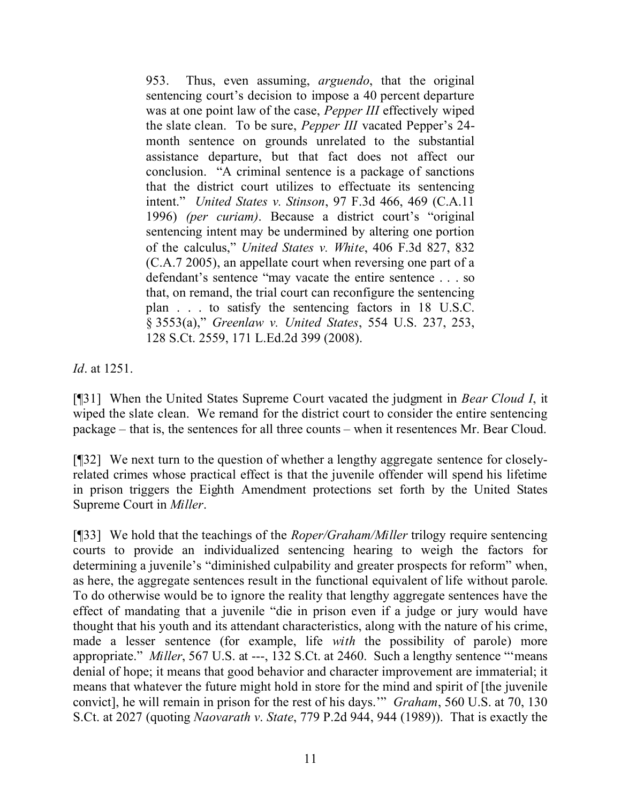953. Thus, even assuming, *arguendo*, that the original sentencing court's decision to impose a 40 percent departure was at one point law of the case, *Pepper III* effectively wiped the slate clean. To be sure, *Pepper III* vacated Pepper's 24 month sentence on grounds unrelated to the substantial assistance departure, but that fact does not affect our conclusion. "A criminal sentence is a package of sanctions that the district court utilizes to effectuate its sentencing intent." *United States v. Stinson*, 97 F.3d 466, 469 (C.A.11 1996) *(per curiam)*. Because a district court's "original sentencing intent may be undermined by altering one portion of the calculus," *United States v. White*, 406 F.3d 827, 832 (C.A.7 2005), an appellate court when reversing one part of a defendant's sentence "may vacate the entire sentence . . . so that, on remand, the trial court can reconfigure the sentencing plan . . . to satisfy the sentencing factors in 18 U.S.C. § 3553(a)," *Greenlaw v. United States*, 554 U.S. 237, 253, 128 S.Ct. 2559, 171 L.Ed.2d 399 (2008).

*Id*. at 1251.

[¶31] When the United States Supreme Court vacated the judgment in *Bear Cloud I*, it wiped the slate clean. We remand for the district court to consider the entire sentencing package – that is, the sentences for all three counts – when it resentences Mr. Bear Cloud.

[¶32] We next turn to the question of whether a lengthy aggregate sentence for closelyrelated crimes whose practical effect is that the juvenile offender will spend his lifetime in prison triggers the Eighth Amendment protections set forth by the United States Supreme Court in *Miller*.

[¶33] We hold that the teachings of the *Roper/Graham/Miller* trilogy require sentencing courts to provide an individualized sentencing hearing to weigh the factors for determining a juvenile's "diminished culpability and greater prospects for reform" when, as here, the aggregate sentences result in the functional equivalent of life without parole. To do otherwise would be to ignore the reality that lengthy aggregate sentences have the effect of mandating that a juvenile "die in prison even if a judge or jury would have thought that his youth and its attendant characteristics, along with the nature of his crime, made a lesser sentence (for example, life *with* the possibility of parole) more appropriate." *Miller*, 567 U.S. at ---, 132 S.Ct. at 2460. Such a lengthy sentence "'means denial of hope; it means that good behavior and character improvement are immaterial; it means that whatever the future might hold in store for the mind and spirit of [the juvenile convict], he will remain in prison for the rest of his days.'" *Graham*, 560 U.S. at 70, 130 S.Ct. at 2027 (quoting *Naovarath v*. *State*, 779 P.2d 944, 944 (1989)). That is exactly the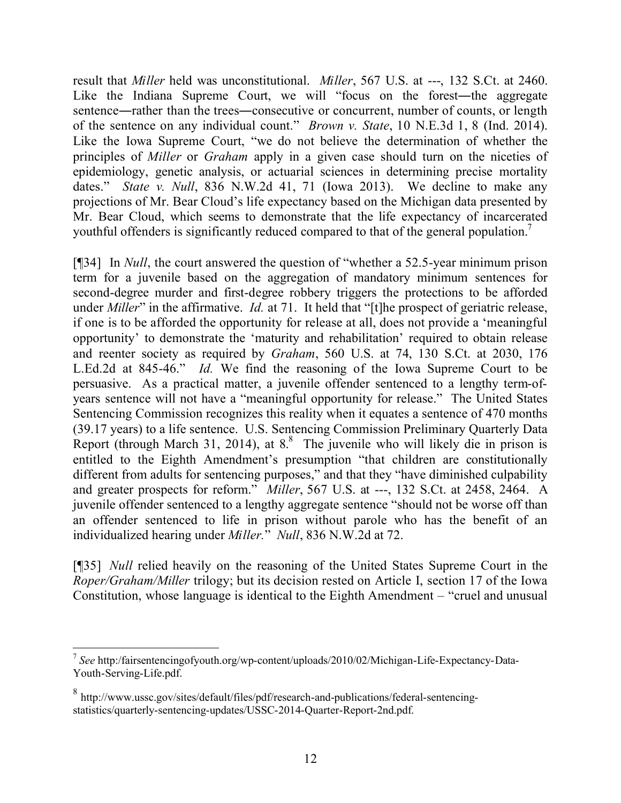result that *Miller* held was unconstitutional. *Miller*, 567 U.S. at ---, 132 S.Ct. at 2460. Like the Indiana Supreme Court, we will "focus on the forest—the aggregate sentence―rather than the trees―consecutive or concurrent, number of counts, or length of the sentence on any individual count." *Brown v. State*, 10 N.E.3d 1, 8 (Ind. 2014). Like the Iowa Supreme Court, "we do not believe the determination of whether the principles of *Miller* or *Graham* apply in a given case should turn on the niceties of epidemiology, genetic analysis, or actuarial sciences in determining precise mortality dates." *State v. Null*, 836 N.W.2d 41, 71 (Iowa 2013). We decline to make any projections of Mr. Bear Cloud's life expectancy based on the Michigan data presented by Mr. Bear Cloud, which seems to demonstrate that the life expectancy of incarcerated youthful offenders is significantly reduced compared to that of the general population.<sup>7</sup>

[¶34] In *Null*, the court answered the question of "whether a 52.5-year minimum prison term for a juvenile based on the aggregation of mandatory minimum sentences for second-degree murder and first-degree robbery triggers the protections to be afforded under *Miller*" in the affirmative. *Id.* at 71. It held that "[t]he prospect of geriatric release, if one is to be afforded the opportunity for release at all, does not provide a 'meaningful opportunity' to demonstrate the 'maturity and rehabilitation' required to obtain release and reenter society as required by *Graham*, 560 U.S. at 74, 130 S.Ct. at 2030, 176 L.Ed.2d at 845-46." *Id.* We find the reasoning of the Iowa Supreme Court to be persuasive. As a practical matter, a juvenile offender sentenced to a lengthy term-ofyears sentence will not have a "meaningful opportunity for release." The United States Sentencing Commission recognizes this reality when it equates a sentence of 470 months (39.17 years) to a life sentence. U.S. Sentencing Commission Preliminary Quarterly Data Report (through March 31, 2014), at 8.<sup>8</sup> The juvenile who will likely die in prison is entitled to the Eighth Amendment's presumption "that children are constitutionally different from adults for sentencing purposes," and that they "have diminished culpability and greater prospects for reform." *Miller*, 567 U.S. at ---, 132 S.Ct. at 2458, 2464. A juvenile offender sentenced to a lengthy aggregate sentence "should not be worse off than an offender sentenced to life in prison without parole who has the benefit of an individualized hearing under *Miller.*" *Null*, 836 N.W.2d at 72.

[¶35] *Null* relied heavily on the reasoning of the United States Supreme Court in the *Roper/Graham/Miller* trilogy; but its decision rested on Article I, section 17 of the Iowa Constitution, whose language is identical to the Eighth Amendment – "cruel and unusual

 7 *See* http:/fairsentencingofyouth.org/wp-content/uploads/2010/02/Michigan-Life-Expectancy-Data-Youth-Serving-Life.pdf.

<sup>&</sup>lt;sup>8</sup> http://www.ussc.gov/sites/default/files/pdf/research-and-publications/federal-sentencingstatistics/quarterly-sentencing-updates/USSC-2014-Quarter-Report-2nd.pdf.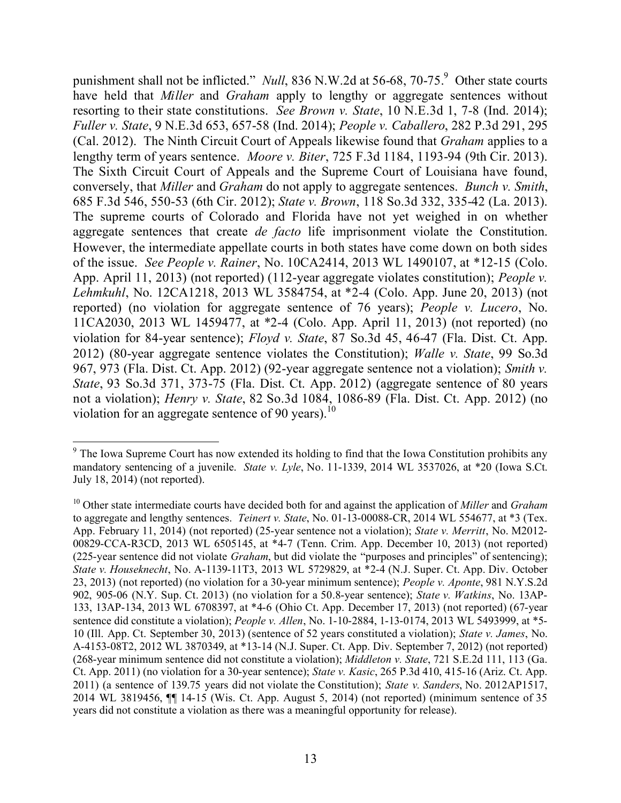punishment shall not be inflicted." *Null*, 836 N.W.2d at 56-68, 70-75.<sup>9</sup> Other state courts have held that *Miller* and *Graham* apply to lengthy or aggregate sentences without resorting to their state constitutions. *See Brown v. State*, 10 N.E.3d 1, 7-8 (Ind. 2014); *Fuller v. State*, 9 N.E.3d 653, 657-58 (Ind. 2014); *People v. Caballero*, 282 P.3d 291, 295 (Cal. 2012). The Ninth Circuit Court of Appeals likewise found that *Graham* applies to a lengthy term of years sentence. *Moore v. Biter*, 725 F.3d 1184, 1193-94 (9th Cir. 2013). The Sixth Circuit Court of Appeals and the Supreme Court of Louisiana have found, conversely, that *Miller* and *Graham* do not apply to aggregate sentences. *Bunch v. Smith*, 685 F.3d 546, 550-53 (6th Cir. 2012); *State v. Brown*, 118 So.3d 332, 335-42 (La. 2013). The supreme courts of Colorado and Florida have not yet weighed in on whether aggregate sentences that create *de facto* life imprisonment violate the Constitution. However, the intermediate appellate courts in both states have come down on both sides of the issue. *See People v. Rainer*, No. 10CA2414, 2013 WL 1490107, at \*12-15 (Colo. App. April 11, 2013) (not reported) (112-year aggregate violates constitution); *People v. Lehmkuhl*, No. 12CA1218, 2013 WL 3584754, at \*2-4 (Colo. App. June 20, 2013) (not reported) (no violation for aggregate sentence of 76 years); *People v. Lucero*, No. 11CA2030, 2013 WL 1459477, at \*2-4 (Colo. App. April 11, 2013) (not reported) (no violation for 84-year sentence); *Floyd v. State*, 87 So.3d 45, 46-47 (Fla. Dist. Ct. App. 2012) (80-year aggregate sentence violates the Constitution); *Walle v. State*, 99 So.3d 967, 973 (Fla. Dist. Ct. App. 2012) (92-year aggregate sentence not a violation); *Smith v. State*, 93 So.3d 371, 373-75 (Fla. Dist. Ct. App. 2012) (aggregate sentence of 80 years not a violation); *Henry v. State*, 82 So.3d 1084, 1086-89 (Fla. Dist. Ct. App. 2012) (no violation for an aggregate sentence of 90 years).<sup>10</sup>

  $9<sup>9</sup>$  The Iowa Supreme Court has now extended its holding to find that the Iowa Constitution prohibits any mandatory sentencing of a juvenile. *State v. Lyle*, No. 11-1339, 2014 WL 3537026, at \*20 (Iowa S.Ct. July 18, 2014) (not reported).

<sup>10</sup> Other state intermediate courts have decided both for and against the application of *Miller* and *Graham* to aggregate and lengthy sentences. *Teinert v. State*, No. 01-13-00088-CR, 2014 WL 554677, at \*3 (Tex. App. February 11, 2014) (not reported) (25-year sentence not a violation); *State v. Merritt*, No. M2012- 00829-CCA-R3CD, 2013 WL 6505145, at \*4-7 (Tenn. Crim. App. December 10, 2013) (not reported) (225-year sentence did not violate *Graham*, but did violate the "purposes and principles" of sentencing); *State v. Houseknecht*, No. A-1139-11T3, 2013 WL 5729829, at \*2-4 (N.J. Super. Ct. App. Div. October 23, 2013) (not reported) (no violation for a 30-year minimum sentence); *People v. Aponte*, 981 N.Y.S.2d 902, 905-06 (N.Y. Sup. Ct. 2013) (no violation for a 50.8-year sentence); *State v. Watkins*, No. 13AP-133, 13AP-134, 2013 WL 6708397, at \*4-6 (Ohio Ct. App. December 17, 2013) (not reported) (67-year sentence did constitute a violation); *People v. Allen*, No. 1-10-2884, 1-13-0174, 2013 WL 5493999, at \*5- 10 (Ill. App. Ct. September 30, 2013) (sentence of 52 years constituted a violation); *State v. James*, No. A-4153-08T2, 2012 WL 3870349, at \*13-14 (N.J. Super. Ct. App. Div. September 7, 2012) (not reported) (268-year minimum sentence did not constitute a violation); *Middleton v. State*, 721 S.E.2d 111, 113 (Ga. Ct. App. 2011) (no violation for a 30-year sentence); *State v. Kasic*, 265 P.3d 410, 415-16 (Ariz. Ct. App. 2011) (a sentence of 139.75 years did not violate the Constitution); *State v. Sanders*, No. 2012AP1517, 2014 WL 3819456, ¶¶ 14-15 (Wis. Ct. App. August 5, 2014) (not reported) (minimum sentence of 35 years did not constitute a violation as there was a meaningful opportunity for release).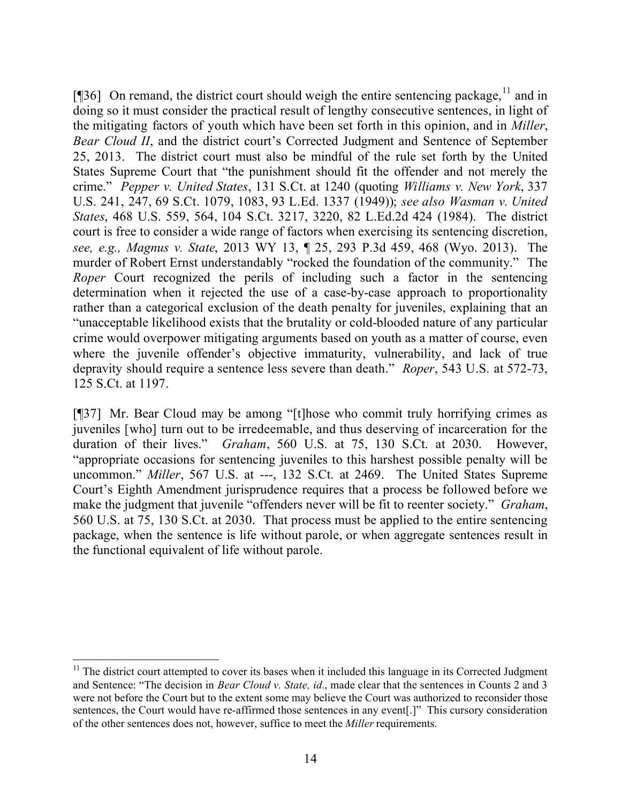[ $[$ ]36] On remand, the district court should weigh the entire sentencing package,  $\frac{11}{1}$  and in doing so it must consider the practical result of lengthy consecutive sentences, in light of the mitigating factors of youth which have been set forth in this opinion, and in *Miller*, *Bear Cloud II*, and the district court's Corrected Judgment and Sentence of September 25, 2013. The district court must also be mindful of the rule set forth by the United States Supreme Court that "the punishment should fit the offender and not merely the crime." *Pepper v. United States*, 131 S.Ct. at 1240 (quoting *Williams v. New York*, 337 U.S. 241, 247, 69 S.Ct. 1079, 1083, 93 L.Ed. 1337 (1949)); *see also Wasman v. United States*, 468 U.S. 559, 564, 104 S.Ct. 3217, 3220, 82 L.Ed.2d 424 (1984). The district court is free to consider a wide range of factors when exercising its sentencing discretion, *see, e.g., Magnus v. State*, 2013 WY 13, ¶ 25, 293 P.3d 459, 468 (Wyo. 2013). The murder of Robert Ernst understandably "rocked the foundation of the community." The *Roper* Court recognized the perils of including such a factor in the sentencing determination when it rejected the use of a case-by-case approach to proportionality rather than a categorical exclusion of the death penalty for juveniles, explaining that an "unacceptable likelihood exists that the brutality or cold-blooded nature of any particular crime would overpower mitigating arguments based on youth as a matter of course, even where the juvenile offender's objective immaturity, vulnerability, and lack of true depravity should require a sentence less severe than death." *Roper*, 543 U.S. at 572-73, 125 S.Ct. at 1197.

[¶37] Mr. Bear Cloud may be among "[t]hose who commit truly horrifying crimes as juveniles [who] turn out to be irredeemable, and thus deserving of incarceration for the duration of their lives." *Graham*, 560 U.S. at 75, 130 S.Ct. at 2030. However, "appropriate occasions for sentencing juveniles to this harshest possible penalty will be uncommon." *Miller*, 567 U.S. at ---, 132 S.Ct. at 2469. The United States Supreme Court's Eighth Amendment jurisprudence requires that a process be followed before we make the judgment that juvenile "offenders never will be fit to reenter society." *Graham*, 560 U.S. at 75, 130 S.Ct. at 2030. That process must be applied to the entire sentencing package, when the sentence is life without parole, or when aggregate sentences result in the functional equivalent of life without parole.

 $11$  The district court attempted to cover its bases when it included this language in its Corrected Judgment and Sentence: "The decision in *Bear Cloud v. State, id.*, made clear that the sentences in Counts 2 and 3 were not before the Court but to the extent some may believe the Court was authorized to reconsider those sentences, the Court would have re-affirmed those sentences in any event[.]" This cursory consideration of the other sentences does not, however, suffice to meet the *Miller* requirements.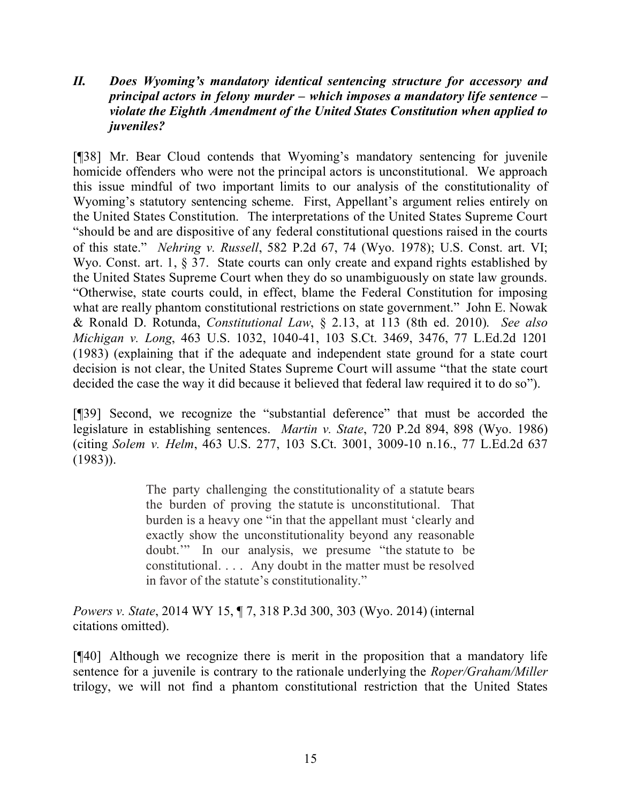## *II. Does Wyoming's mandatory identical sentencing structure for accessory and principal actors in felony murder – which imposes a mandatory life sentence – violate the Eighth Amendment of the United States Constitution when applied to juveniles?*

[¶38] Mr. Bear Cloud contends that Wyoming's mandatory sentencing for juvenile homicide offenders who were not the principal actors is unconstitutional. We approach this issue mindful of two important limits to our analysis of the constitutionality of Wyoming's statutory sentencing scheme. First, Appellant's argument relies entirely on the United States Constitution. The interpretations of the United States Supreme Court "should be and are dispositive of any federal constitutional questions raised in the courts of this state." *Nehring v. Russell*, 582 P.2d 67, 74 (Wyo. 1978); U.S. Const. art. VI; Wyo. Const. art. 1, § 37. State courts can only create and expand rights established by the United States Supreme Court when they do so unambiguously on state law grounds. "Otherwise, state courts could, in effect, blame the Federal Constitution for imposing what are really phantom constitutional restrictions on state government." John E. Nowak & Ronald D. Rotunda, *Constitutional Law*, § 2.13, at 113 (8th ed. 2010). *See also Michigan v. Long*, 463 U.S. 1032, 1040-41, 103 S.Ct. 3469, 3476, 77 L.Ed.2d 1201 (1983) (explaining that if the adequate and independent state ground for a state court decision is not clear, the United States Supreme Court will assume "that the state court decided the case the way it did because it believed that federal law required it to do so").

[¶39] Second, we recognize the "substantial deference" that must be accorded the legislature in establishing sentences. *Martin v. State*, 720 P.2d 894, 898 (Wyo. 1986) (citing *Solem v. Helm*, 463 U.S. 277, 103 S.Ct. 3001, 3009-10 n.16., 77 L.Ed.2d 637 (1983)).

> The party challenging the constitutionality of a statute bears the burden of proving the statute is unconstitutional. That burden is a heavy one "in that the appellant must 'clearly and exactly show the unconstitutionality beyond any reasonable doubt.'" In our analysis, we presume "the statute to be constitutional. . . . Any doubt in the matter must be resolved in favor of the statute's constitutionality."

*Powers v. State*, 2014 WY 15, ¶ 7, 318 P.3d 300, 303 (Wyo. 2014) (internal citations omitted).

[¶40] Although we recognize there is merit in the proposition that a mandatory life sentence for a juvenile is contrary to the rationale underlying the *Roper/Graham/Miller* trilogy, we will not find a phantom constitutional restriction that the United States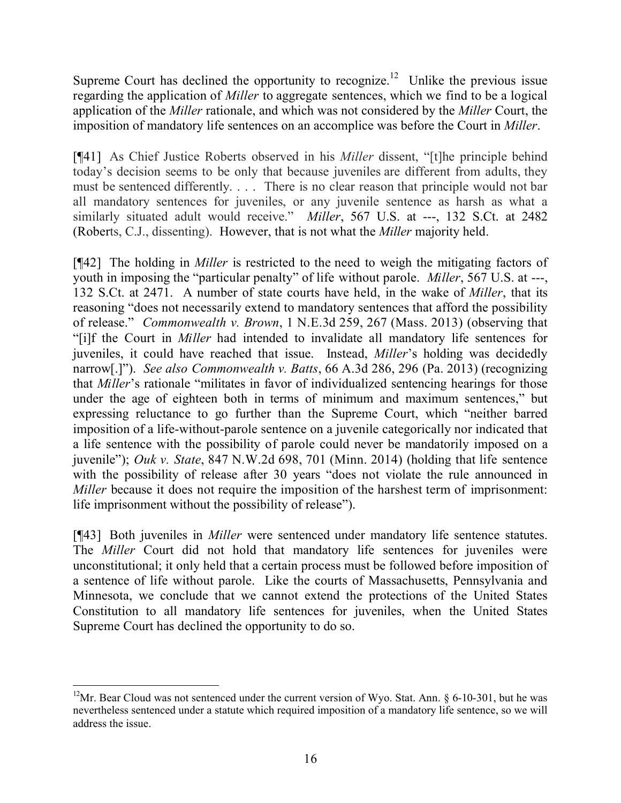Supreme Court has declined the opportunity to recognize.<sup>12</sup> Unlike the previous issue regarding the application of *Miller* to aggregate sentences, which we find to be a logical application of the *Miller* rationale, and which was not considered by the *Miller* Court, the imposition of mandatory life sentences on an accomplice was before the Court in *Miller*.

[¶41] As Chief Justice Roberts observed in his *Miller* dissent, "[t]he principle behind today's decision seems to be only that because juveniles are different from adults, they must be sentenced differently. . . . There is no clear reason that principle would not bar all mandatory sentences for juveniles, or any juvenile sentence as harsh as what a similarly situated adult would receive." *Miller*, 567 U.S. at ---, 132 S.Ct. at 2482 (Roberts, C.J., dissenting). However, that is not what the *Miller* majority held.

[¶42] The holding in *Miller* is restricted to the need to weigh the mitigating factors of youth in imposing the "particular penalty" of life without parole. *Miller*, 567 U.S. at ---, 132 S.Ct. at 2471. A number of state courts have held, in the wake of *Miller*, that its reasoning "does not necessarily extend to mandatory sentences that afford the possibility of release." *Commonwealth v. Brown*, 1 N.E.3d 259, 267 (Mass. 2013) (observing that "[i]f the Court in *Miller* had intended to invalidate all mandatory life sentences for juveniles, it could have reached that issue. Instead, *Miller*'s holding was decidedly narrow[.]"). *See also Commonwealth v. Batts*, 66 A.3d 286, 296 (Pa. 2013) (recognizing that *Miller*'s rationale "militates in favor of individualized sentencing hearings for those under the age of eighteen both in terms of minimum and maximum sentences," but expressing reluctance to go further than the Supreme Court, which "neither barred imposition of a life-without-parole sentence on a juvenile categorically nor indicated that a life sentence with the possibility of parole could never be mandatorily imposed on a juvenile"); *Ouk v. State*, 847 N.W.2d 698, 701 (Minn. 2014) (holding that life sentence with the possibility of release after 30 years "does not violate the rule announced in *Miller* because it does not require the imposition of the harshest term of imprisonment: life imprisonment without the possibility of release").

[¶43] Both juveniles in *Miller* were sentenced under mandatory life sentence statutes. The *Miller* Court did not hold that mandatory life sentences for juveniles were unconstitutional; it only held that a certain process must be followed before imposition of a sentence of life without parole. Like the courts of Massachusetts, Pennsylvania and Minnesota, we conclude that we cannot extend the protections of the United States Constitution to all mandatory life sentences for juveniles, when the United States Supreme Court has declined the opportunity to do so.

 <sup>12</sup>Mr. Bear Cloud was not sentenced under the current version of Wyo. Stat. Ann. § 6-10-301, but he was nevertheless sentenced under a statute which required imposition of a mandatory life sentence, so we will address the issue.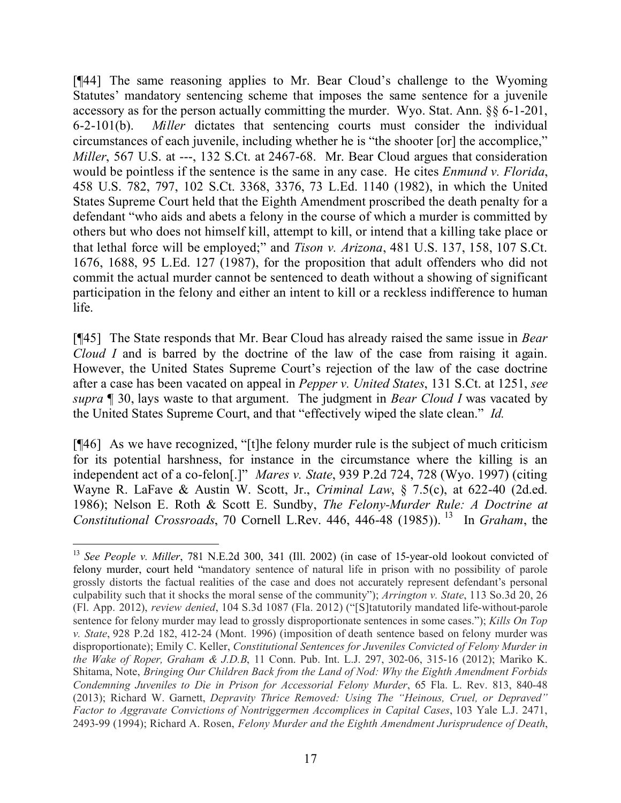[¶44] The same reasoning applies to Mr. Bear Cloud's challenge to the Wyoming Statutes' mandatory sentencing scheme that imposes the same sentence for a juvenile accessory as for the person actually committing the murder. Wyo. Stat. Ann. §§ 6-1-201, 6-2-101(b). *Miller* dictates that sentencing courts must consider the individual circumstances of each juvenile, including whether he is "the shooter [or] the accomplice," *Miller*, 567 U.S. at ---, 132 S.Ct. at 2467-68. Mr. Bear Cloud argues that consideration would be pointless if the sentence is the same in any case. He cites *Enmund v. Florida*, 458 U.S. 782, 797, 102 S.Ct. 3368, 3376, 73 L.Ed. 1140 (1982), in which the United States Supreme Court held that the Eighth Amendment proscribed the death penalty for a defendant "who aids and abets a felony in the course of which a murder is committed by others but who does not himself kill, attempt to kill, or intend that a killing take place or that lethal force will be employed;" and *Tison v. Arizona*, 481 U.S. 137, 158, 107 S.Ct. 1676, 1688, 95 L.Ed. 127 (1987), for the proposition that adult offenders who did not commit the actual murder cannot be sentenced to death without a showing of significant participation in the felony and either an intent to kill or a reckless indifference to human life.

[¶45] The State responds that Mr. Bear Cloud has already raised the same issue in *Bear Cloud I* and is barred by the doctrine of the law of the case from raising it again. However, the United States Supreme Court's rejection of the law of the case doctrine after a case has been vacated on appeal in *Pepper v. United States*, 131 S.Ct. at 1251, *see supra* ¶ 30, lays waste to that argument. The judgment in *Bear Cloud I* was vacated by the United States Supreme Court, and that "effectively wiped the slate clean." *Id.*

[¶46] As we have recognized, "[t]he felony murder rule is the subject of much criticism for its potential harshness, for instance in the circumstance where the killing is an independent act of a co-felon[.]" *Mares v. State*, 939 P.2d 724, 728 (Wyo. 1997) (citing Wayne R. LaFave & Austin W. Scott, Jr., *Criminal Law*, § 7.5(c), at 622-40 (2d.ed. 1986); Nelson E. Roth & Scott E. Sundby, *The Felony-Murder Rule: A Doctrine at*  Constitutional Crossroads, 70 Cornell L.Rev. 446, 446-48 (1985)).<sup>13</sup> In *Graham*, the

 <sup>13</sup> *See People v. Miller*, 781 N.E.2d 300, 341 (Ill. 2002) (in case of 15-year-old lookout convicted of felony murder, court held "mandatory sentence of natural life in prison with no possibility of parole grossly distorts the factual realities of the case and does not accurately represent defendant's personal culpability such that it shocks the moral sense of the community"); *Arrington v. State*, 113 So.3d 20, 26 (Fl. App. 2012), *review denied*, 104 S.3d 1087 (Fla. 2012) ("[S]tatutorily mandated life-without-parole sentence for felony murder may lead to grossly disproportionate sentences in some cases."); *Kills On Top v. State*, 928 P.2d 182, 412-24 (Mont. 1996) (imposition of death sentence based on felony murder was disproportionate); Emily C. Keller, *Constitutional Sentences for Juveniles Convicted of Felony Murder in the Wake of Roper, Graham & J.D.B*, 11 Conn. Pub. Int. L.J. 297, 302-06, 315-16 (2012); Mariko K. Shitama, Note, *Bringing Our Children Back from the Land of Nod: Why the Eighth Amendment Forbids Condemning Juveniles to Die in Prison for Accessorial Felony Murder*, 65 Fla. L. Rev. 813, 840-48 (2013); Richard W. Garnett, *Depravity Thrice Removed: Using The "Heinous, Cruel, or Depraved" Factor to Aggravate Convictions of Nontriggermen Accomplices in Capital Cases*, 103 Yale L.J. 2471, 2493-99 (1994); Richard A. Rosen, *Felony Murder and the Eighth Amendment Jurisprudence of Death*,